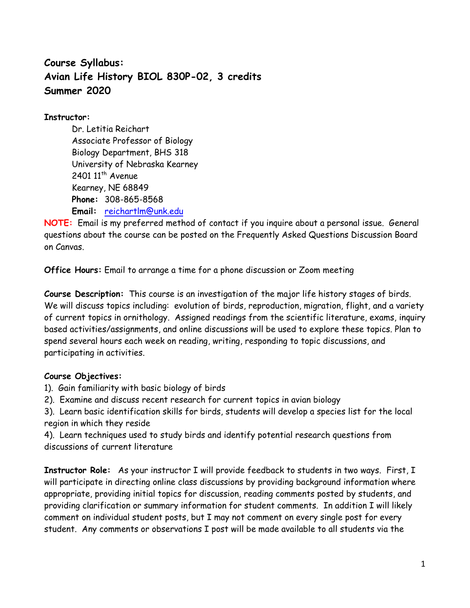# **Course Syllabus: Avian Life History BIOL 830P-02, 3 credits Summer 2020**

# **Instructor:**

Dr. Letitia Reichart Associate Professor of Biology Biology Department, BHS 318 University of Nebraska Kearney 2401  $11<sup>th</sup>$  Avenue Kearney, NE 68849 **Phone:** 308-865-8568 **Email:** [reichartlm@unk.edu](mailto:reichartlm@unk.edu)

**NOTE:** Email is my preferred method of contact if you inquire about a personal issue. General questions about the course can be posted on the Frequently Asked Questions Discussion Board on Canvas.

**Office Hours:** Email to arrange a time for a phone discussion or Zoom meeting

**Course Description:** This course is an investigation of the major life history stages of birds. We will discuss topics including: evolution of birds, reproduction, migration, flight, and a variety of current topics in ornithology. Assigned readings from the scientific literature, exams, inquiry based activities/assignments, and online discussions will be used to explore these topics. Plan to spend several hours each week on reading, writing, responding to topic discussions, and participating in activities.

# **Course Objectives:**

- 1). Gain familiarity with basic biology of birds
- 2). Examine and discuss recent research for current topics in avian biology

3). Learn basic identification skills for birds, students will develop a species list for the local region in which they reside

4). Learn techniques used to study birds and identify potential research questions from discussions of current literature

**Instructor Role:** As your instructor I will provide feedback to students in two ways. First, I will participate in directing online class discussions by providing background information where appropriate, providing initial topics for discussion, reading comments posted by students, and providing clarification or summary information for student comments. In addition I will likely comment on individual student posts, but I may not comment on every single post for every student. Any comments or observations I post will be made available to all students via the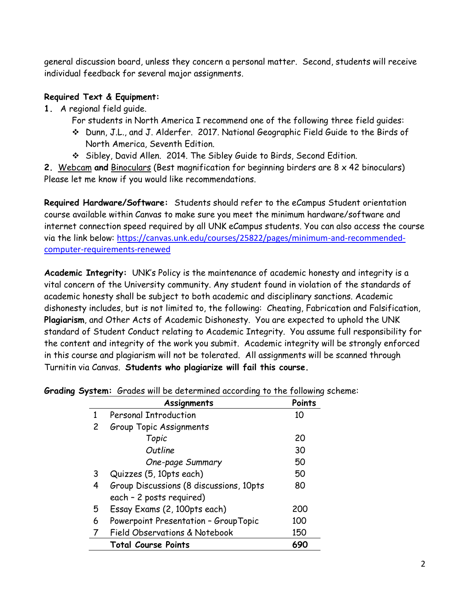general discussion board, unless they concern a personal matter. Second, students will receive individual feedback for several major assignments.

# **Required Text & Equipment:**

- **1.** A regional field guide.
	- For students in North America I recommend one of the following three field guides:
	- ❖ Dunn, J.L., and J. Alderfer. 2017. National Geographic Field Guide to the Birds of North America, Seventh Edition.
	- ❖ Sibley, David Allen. 2014. The Sibley Guide to Birds, Second Edition.

**2.** Webcam **and** Binoculars (Best magnification for beginning birders are 8 x 42 binoculars) Please let me know if you would like recommendations.

**Required Hardware/Software:** Students should refer to the eCampus Student orientation course available within Canvas to make sure you meet the minimum hardware/software and internet connection speed required by all UNK eCampus students. You can also access the course via the link below: [https://canvas.unk.edu/courses/25822/pages/minimum-and-recommended](https://canvas.unk.edu/courses/25822/pages/minimum-and-recommended-computer-requirements-renewed)[computer-requirements-renewed](https://canvas.unk.edu/courses/25822/pages/minimum-and-recommended-computer-requirements-renewed)

**Academic Integrity:** UNK's Policy is the maintenance of academic honesty and integrity is a vital concern of the University community. Any student found in violation of the standards of academic honesty shall be subject to both academic and disciplinary sanctions. Academic dishonesty includes, but is not limited to, the following: Cheating, Fabrication and Falsification, **Plagiarism**, and Other Acts of Academic Dishonesty. You are expected to uphold the UNK standard of Student Conduct relating to Academic Integrity. You assume full responsibility for the content and integrity of the work you submit. Academic integrity will be strongly enforced in this course and plagiarism will not be tolerated. All assignments will be scanned through Turnitin via Canvas. **Students who plagiarize will fail this course.**

|    | Assignments                                                         | Points |
|----|---------------------------------------------------------------------|--------|
| 1  | <b>Personal Introduction</b>                                        | 10     |
| 2  | Group Topic Assignments                                             |        |
|    | Topic                                                               | 20     |
|    | Outline                                                             | 30     |
|    | One-page Summary                                                    | 50     |
| 3  | Quizzes (5, 10pts each)                                             | 50     |
| 4  | Group Discussions (8 discussions, 10pts<br>each - 2 posts required) | 80     |
| 5. | Essay Exams (2, 100pts each)                                        | 200    |
| 6  | Powerpoint Presentation - GroupTopic                                | 100    |
|    | <b>Field Observations &amp; Notebook</b>                            | 150    |
|    | <b>Total Course Points</b>                                          | 690    |

**Grading System:** Grades will be determined according to the following scheme: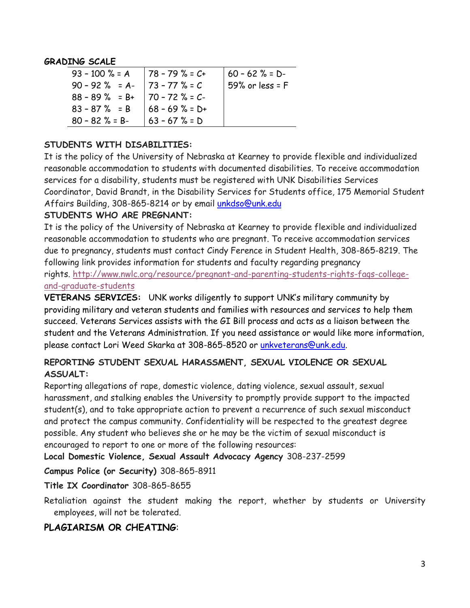#### **GRADING SCALE**

| 93 - 100 % = A   78 - 79 % = $C+$      |                  | $160 - 62 % = D$  |
|----------------------------------------|------------------|-------------------|
| $90 - 92$ % = A- $73 - 77$ % = C       |                  | 59% or less = $F$ |
| $88 - 89$ % = B+   70 - 72 % = C-      |                  |                   |
| $83 - 87$ % = B $\big  68 - 69$ % = D+ |                  |                   |
| $80 - 82 \% = B$                       | $ 63 - 67\% = D$ |                   |

#### **STUDENTS WITH DISABILITIES:**

It is the policy of the University of Nebraska at Kearney to provide flexible and individualized reasonable accommodation to students with documented disabilities. To receive accommodation services for a disability, students must be registered with UNK Disabilities Services Coordinator, David Brandt, in the Disability Services for Students office, 175 Memorial Student Affairs Building, 308-865-8214 or by email [unkdso@unk.edu](mailto:unkdso@unk.edu)

#### **STUDENTS WHO ARE PREGNANT:**

It is the policy of the University of Nebraska at Kearney to provide flexible and individualized reasonable accommodation to students who are pregnant. To receive accommodation services due to pregnancy, students must contact Cindy Ference in Student Health, 308-865-8219. The following link provides information for students and faculty regarding pregnancy rights. [http://www.nwlc.org/resource/pregnant-and-parenting-students-rights-faqs-college](https://urldefense.proofpoint.com/v2/url?u=http-3A__www.nwlc.org_resource_pregnant-2Dand-2Dparenting-2Dstudents-2Drights-2Dfaqs-2Dcollege-2Dand-2Dgraduate-2Dstudents&d=DwMFAg&c=Cu5g146wZdoqVuKpTNsYHeFX_rg6kWhlkLF8Eft-wwo&r=BJkIhAaMtWY7PlqIhIOyVw&m=RgBL3s2VNHfvD5ReMK2q_PhwYU8dbEt1vxs1BO4WkpQ&s=MmB91XAzaW-E7UPMXPGx9tWJQbTWJYyYzM8gLjhEzQ0&e=)[and-graduate-students](https://urldefense.proofpoint.com/v2/url?u=http-3A__www.nwlc.org_resource_pregnant-2Dand-2Dparenting-2Dstudents-2Drights-2Dfaqs-2Dcollege-2Dand-2Dgraduate-2Dstudents&d=DwMFAg&c=Cu5g146wZdoqVuKpTNsYHeFX_rg6kWhlkLF8Eft-wwo&r=BJkIhAaMtWY7PlqIhIOyVw&m=RgBL3s2VNHfvD5ReMK2q_PhwYU8dbEt1vxs1BO4WkpQ&s=MmB91XAzaW-E7UPMXPGx9tWJQbTWJYyYzM8gLjhEzQ0&e=)

**VETERANS SERVICES:** UNK works diligently to support UNK's military community by providing military and veteran students and families with resources and services to help them succeed. Veterans Services assists with the GI Bill process and acts as a liaison between the student and the Veterans Administration. If you need assistance or would like more information, please contact Lori Weed Skarka at 308-865-8520 or [unkveterans@unk.edu.](mailto:unkveterans@unk.edu)

## **REPORTING STUDENT SEXUAL HARASSMENT, SEXUAL VIOLENCE OR SEXUAL ASSUALT:**

Reporting allegations of rape, domestic violence, dating violence, sexual assault, sexual harassment, and stalking enables the University to promptly provide support to the impacted student(s), and to take appropriate action to prevent a recurrence of such sexual misconduct and protect the campus community. Confidentiality will be respected to the greatest degree possible. Any student who believes she or he may be the victim of sexual misconduct is encouraged to report to one or more of the following resources:

**Local Domestic Violence, Sexual Assault Advocacy Agency** 308-237-2599

**Campus Police (or Security)** 308-865-8911

**Title IX Coordinator** 308-865-8655

Retaliation against the student making the report, whether by students or University employees, will not be tolerated.

## **PLAGIARISM OR CHEATING**: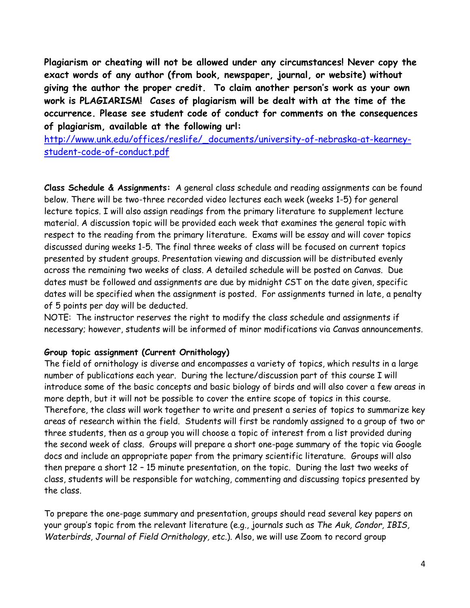**Plagiarism or cheating will not be allowed under any circumstances! Never copy the exact words of any author (from book, newspaper, journal, or website) without giving the author the proper credit. To claim another person's work as your own work is PLAGIARISM! Cases of plagiarism will be dealt with at the time of the occurrence. Please see student code of conduct for comments on the consequences of plagiarism, available at the following url:** 

[http://www.unk.edu/offices/reslife/\\_documents/university-of-nebraska-at-kearney](http://www.unk.edu/offices/reslife/_documents/university-of-nebraska-at-kearney-student-code-of-conduct.pdf)[student-code-of-conduct.pdf](http://www.unk.edu/offices/reslife/_documents/university-of-nebraska-at-kearney-student-code-of-conduct.pdf)

**Class Schedule & Assignments:** A general class schedule and reading assignments can be found below. There will be two-three recorded video lectures each week (weeks 1-5) for general lecture topics. I will also assign readings from the primary literature to supplement lecture material. A discussion topic will be provided each week that examines the general topic with respect to the reading from the primary literature. Exams will be essay and will cover topics discussed during weeks 1-5. The final three weeks of class will be focused on current topics presented by student groups. Presentation viewing and discussion will be distributed evenly across the remaining two weeks of class. A detailed schedule will be posted on Canvas. Due dates must be followed and assignments are due by midnight CST on the date given, specific dates will be specified when the assignment is posted. For assignments turned in late, a penalty of 5 points per day will be deducted.

NOTE: The instructor reserves the right to modify the class schedule and assignments if necessary; however, students will be informed of minor modifications via Canvas announcements.

#### **Group topic assignment (Current Ornithology)**

The field of ornithology is diverse and encompasses a variety of topics, which results in a large number of publications each year. During the lecture/discussion part of this course I will introduce some of the basic concepts and basic biology of birds and will also cover a few areas in more depth, but it will not be possible to cover the entire scope of topics in this course. Therefore, the class will work together to write and present a series of topics to summarize key areas of research within the field. Students will first be randomly assigned to a group of two or three students, then as a group you will choose a topic of interest from a list provided during the second week of class. Groups will prepare a short one-page summary of the topic via Google docs and include an appropriate paper from the primary scientific literature. Groups will also then prepare a short 12 – 15 minute presentation, on the topic. During the last two weeks of class, students will be responsible for watching, commenting and discussing topics presented by the class.

To prepare the one-page summary and presentation, groups should read several key papers on your group's topic from the relevant literature (e.g., journals such as *The Auk, Condor, IBIS, Waterbirds, Journal of Field Ornithology, etc.*). Also, we will use Zoom to record group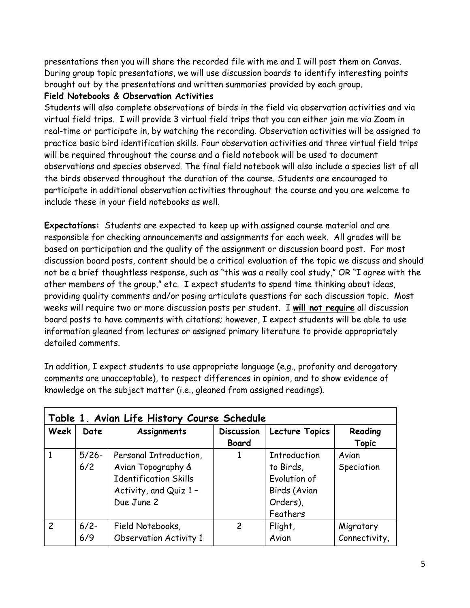presentations then you will share the recorded file with me and I will post them on Canvas. During group topic presentations, we will use discussion boards to identify interesting points brought out by the presentations and written summaries provided by each group.

## **Field Notebooks & Observation Activities**

Students will also complete observations of birds in the field via observation activities and via virtual field trips. I will provide 3 virtual field trips that you can either join me via Zoom in real-time or participate in, by watching the recording. Observation activities will be assigned to practice basic bird identification skills. Four observation activities and three virtual field trips will be required throughout the course and a field notebook will be used to document observations and species observed. The final field notebook will also include a species list of all the birds observed throughout the duration of the course. Students are encouraged to participate in additional observation activities throughout the course and you are welcome to include these in your field notebooks as well.

**Expectations:** Students are expected to keep up with assigned course material and are responsible for checking announcements and assignments for each week. All grades will be based on participation and the quality of the assignment or discussion board post. For most discussion board posts, content should be a critical evaluation of the topic we discuss and should not be a brief thoughtless response, such as "this was a really cool study," OR "I agree with the other members of the group," etc. I expect students to spend time thinking about ideas, providing quality comments and/or posing articulate questions for each discussion topic. Most weeks will require two or more discussion posts per student. I **will not require** all discussion board posts to have comments with citations; however, I expect students will be able to use information gleaned from lectures or assigned primary literature to provide appropriately detailed comments.

In addition, I expect students to use appropriate language (e.g., profanity and derogatory comments are unacceptable), to respect differences in opinion, and to show evidence of knowledge on the subject matter (i.e., gleaned from assigned readings).

| Week           | Date     | Assignments                   | <b>Discussion</b> | Lecture Topics      | Reading       |
|----------------|----------|-------------------------------|-------------------|---------------------|---------------|
|                |          |                               | <b>Board</b>      |                     | <b>Topic</b>  |
|                | $5/26 -$ | Personal Introduction,        |                   | <b>Introduction</b> | Avian         |
|                | 6/2      | Avian Topography &            |                   | to Birds,           | Speciation    |
|                |          | <b>Identification Skills</b>  |                   | Evolution of        |               |
|                |          | Activity, and Quiz 1 -        |                   | Birds (Avian        |               |
|                |          | Due June 2                    |                   | Orders),            |               |
|                |          |                               |                   | Feathers            |               |
| $\overline{c}$ | $6/2 -$  | Field Notebooks,              | $\overline{c}$    | Flight,             | Migratory     |
|                | 6/9      | <b>Observation Activity 1</b> |                   | Avian               | Connectivity, |